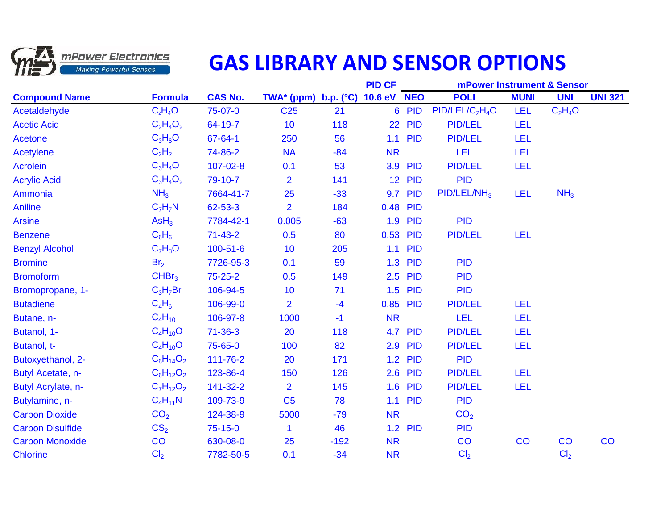

## **GAS LIBRARY AND SENSOR OPTIONS**

|                         |                   |                |                               |        | <b>PID CF</b>      |                |                                         | <b>mPower Instrument &amp; Sensor</b> |                 |                |
|-------------------------|-------------------|----------------|-------------------------------|--------|--------------------|----------------|-----------------------------------------|---------------------------------------|-----------------|----------------|
| <b>Compound Name</b>    | <b>Formula</b>    | <b>CAS No.</b> | TWA* (ppm) b.p. $(^{\circ}C)$ |        | <b>10.6 eV NEO</b> |                | <b>POLI</b>                             | <b>MUNI</b>                           | <b>UNI</b>      | <b>UNI 321</b> |
| Acetaldehyde            | $C_2H_4O$         | 75-07-0        | C <sub>25</sub>               | 21     |                    | 6 PID          | PID/LEL/C <sub>2</sub> H <sub>4</sub> O | <b>LEL</b>                            | $C_2H_4O$       |                |
| <b>Acetic Acid</b>      | $C_2H_4O_2$       | 64-19-7        | 10                            | 118    | 22                 | <b>PID</b>     | <b>PID/LEL</b>                          | <b>LEL</b>                            |                 |                |
| <b>Acetone</b>          | $C_3H_6O$         | 67-64-1        | 250                           | 56     | 1.1                | <b>PID</b>     | <b>PID/LEL</b>                          | <b>LEL</b>                            |                 |                |
| <b>Acetylene</b>        | $C_2H_2$          | 74-86-2        | <b>NA</b>                     | $-84$  | <b>NR</b>          |                | <b>LEL</b>                              | <b>LEL</b>                            |                 |                |
| <b>Acrolein</b>         | $C_3H_4O$         | $107 - 02 - 8$ | 0.1                           | 53     | 3.9                | <b>PID</b>     | <b>PID/LEL</b>                          | LEL                                   |                 |                |
| <b>Acrylic Acid</b>     | $C_3H_4O_2$       | 79-10-7        | $\overline{2}$                | 141    | 12 <sup>°</sup>    | <b>PID</b>     | <b>PID</b>                              |                                       |                 |                |
| Ammonia                 | NH <sub>3</sub>   | 7664-41-7      | 25                            | $-33$  | 9.7                | <b>PID</b>     | $PID/LEL/NH_3$                          | <b>LEL</b>                            | NH <sub>3</sub> |                |
| <b>Aniline</b>          | $C_7H_7N$         | 62-53-3        | $\overline{2}$                | 184    | 0.48               | <b>PID</b>     |                                         |                                       |                 |                |
| <b>Arsine</b>           | AsH <sub>3</sub>  | 7784-42-1      | 0.005                         | $-63$  |                    | 1.9 PID        | <b>PID</b>                              |                                       |                 |                |
| <b>Benzene</b>          | $C_6H_6$          | $71 - 43 - 2$  | 0.5                           | 80     |                    | 0.53 PID       | <b>PID/LEL</b>                          | <b>LEL</b>                            |                 |                |
| <b>Benzyl Alcohol</b>   | $C_7H_8O$         | $100 - 51 - 6$ | 10                            | 205    | 1.1                | <b>PID</b>     |                                         |                                       |                 |                |
| <b>Bromine</b>          | Br <sub>2</sub>   | 7726-95-3      | 0.1                           | 59     | 1.3                | <b>PID</b>     | <b>PID</b>                              |                                       |                 |                |
| <b>Bromoform</b>        | CHBr <sub>3</sub> | 75-25-2        | 0.5                           | 149    | 2.5                | <b>PID</b>     | <b>PID</b>                              |                                       |                 |                |
| Bromopropane, 1-        | $C_3H_7Br$        | 106-94-5       | 10                            | 71     | 1.5                | <b>PID</b>     | <b>PID</b>                              |                                       |                 |                |
| <b>Butadiene</b>        | $C_4H_6$          | 106-99-0       | $\overline{2}$                | $-4$   | 0.85               | <b>PID</b>     | <b>PID/LEL</b>                          | LEL                                   |                 |                |
| Butane, n-              | $C_4H_{10}$       | 106-97-8       | 1000                          | $-1$   | <b>NR</b>          |                | <b>LEL</b>                              | <b>LEL</b>                            |                 |                |
| Butanol, 1-             | $C_4H_{10}O$      | $71 - 36 - 3$  | 20                            | 118    |                    | <b>4.7 PID</b> | <b>PID/LEL</b>                          | <b>LEL</b>                            |                 |                |
| Butanol, t-             | $C_4H_{10}O$      | 75-65-0        | 100                           | 82     | 2.9                | <b>PID</b>     | <b>PID/LEL</b>                          | LEL                                   |                 |                |
| Butoxyethanol, 2-       | $C_6H_{14}O_2$    | 111-76-2       | 20                            | 171    | 1.2                | <b>PID</b>     | <b>PID</b>                              |                                       |                 |                |
| Butyl Acetate, n-       | $C_6H_{12}O_2$    | 123-86-4       | 150                           | 126    |                    | 2.6 PID        | <b>PID/LEL</b>                          | <b>LEL</b>                            |                 |                |
| Butyl Acrylate, n-      | $C_7H_{12}O_2$    | 141-32-2       | $\overline{2}$                | 145    | 1.6                | <b>PID</b>     | <b>PID/LEL</b>                          | <b>LEL</b>                            |                 |                |
| Butylamine, n-          | $C_4H_{11}N$      | 109-73-9       | C <sub>5</sub>                | 78     | 1.1                | <b>PID</b>     | <b>PID</b>                              |                                       |                 |                |
| <b>Carbon Dioxide</b>   | CO <sub>2</sub>   | 124-38-9       | 5000                          | $-79$  | <b>NR</b>          |                | CO <sub>2</sub>                         |                                       |                 |                |
| <b>Carbon Disulfide</b> | CS <sub>2</sub>   | $75-15-0$      | 1                             | 46     | 1.2                | <b>PID</b>     | <b>PID</b>                              |                                       |                 |                |
| <b>Carbon Monoxide</b>  | CO                | 630-08-0       | 25                            | $-192$ | <b>NR</b>          |                | CO                                      | CO                                    | CO              | CO             |
| <b>Chlorine</b>         | Cl <sub>2</sub>   | 7782-50-5      | 0.1                           | $-34$  | <b>NR</b>          |                | Cl <sub>2</sub>                         |                                       | Cl <sub>2</sub> |                |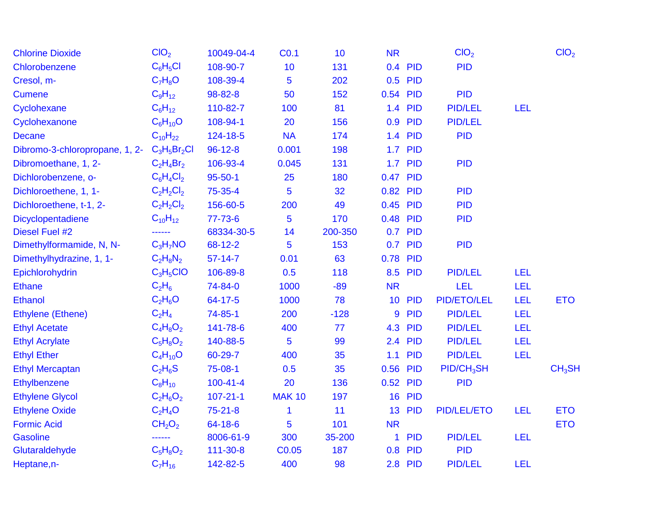| <b>Chlorine Dioxide</b>        | CIO <sub>2</sub>               | 10049-04-4     | CO.1              | 10      | <b>NR</b>       |                | ClO <sub>2</sub>       |            | ClO <sub>2</sub>   |
|--------------------------------|--------------------------------|----------------|-------------------|---------|-----------------|----------------|------------------------|------------|--------------------|
| Chlorobenzene                  | $C_6H_5Cl$                     | 108-90-7       | 10                | 131     | 0.4             | PID            | <b>PID</b>             |            |                    |
| Cresol, m-                     | $C_7H_8O$                      | 108-39-4       | 5                 | 202     | 0.5             | <b>PID</b>     |                        |            |                    |
| <b>Cumene</b>                  | $C_9H_{12}$                    | 98-82-8        | 50                | 152     | 0.54            | <b>PID</b>     | <b>PID</b>             |            |                    |
| Cyclohexane                    | $C_6H_{12}$                    | 110-82-7       | 100               | 81      |                 | 1.4 PID        | <b>PID/LEL</b>         | <b>LEL</b> |                    |
| Cyclohexanone                  | $C_6H_{10}O$                   | 108-94-1       | 20                | 156     | 0.9             | <b>PID</b>     | <b>PID/LEL</b>         |            |                    |
| <b>Decane</b>                  | $C_{10}H_{22}$                 | 124-18-5       | <b>NA</b>         | 174     |                 | 1.4 PID        | <b>PID</b>             |            |                    |
| Dibromo-3-chloropropane, 1, 2- | $C_3H_5Br_2Cl$                 | $96 - 12 - 8$  | 0.001             | 198     |                 | <b>1.7 PID</b> |                        |            |                    |
| Dibromoethane, 1, 2-           | $C_2H_4Br_2$                   | 106-93-4       | 0.045             | 131     | 1.7             | <b>PID</b>     | <b>PID</b>             |            |                    |
| Dichlorobenzene, o-            | $C_6H_4Cl_2$                   | $95 - 50 - 1$  | 25                | 180     | 0.47 PID        |                |                        |            |                    |
| Dichloroethene, 1, 1-          | $C_2H_2Cl_2$                   | 75-35-4        | 5                 | 32      | 0.82 PID        |                | <b>PID</b>             |            |                    |
| Dichloroethene, t-1, 2-        | $C_2H_2Cl_2$                   | 156-60-5       | 200               | 49      | 0.45 PID        |                | <b>PID</b>             |            |                    |
| Dicyclopentadiene              | $C_{10}H_{12}$                 | $77 - 73 - 6$  | 5                 | 170     | 0.48            | <b>PID</b>     | <b>PID</b>             |            |                    |
| Diesel Fuel #2                 | ------                         | 68334-30-5     | 14                | 200-350 | 0.7             | <b>PID</b>     |                        |            |                    |
| Dimethylformamide, N, N-       | $C_3H_7NO$                     | 68-12-2        | 5                 | 153     |                 | 0.7 PID        | <b>PID</b>             |            |                    |
| Dimethylhydrazine, 1, 1-       | $C_2H_8N_2$                    | $57 - 14 - 7$  | 0.01              | 63      | 0.78            | <b>PID</b>     |                        |            |                    |
| Epichlorohydrin                | $C_3H_5ClO$                    | 106-89-8       | 0.5               | 118     |                 | 8.5 PID        | <b>PID/LEL</b>         | <b>LEL</b> |                    |
| <b>Ethane</b>                  | $C_2H_6$                       | 74-84-0        | 1000              | $-89$   | <b>NR</b>       |                | <b>LEL</b>             | <b>LEL</b> |                    |
| <b>Ethanol</b>                 | $C_2H_6O$                      | 64-17-5        | 1000              | 78      | 10 <sup>°</sup> | <b>PID</b>     | <b>PID/ETO/LEL</b>     | <b>LEL</b> | <b>ETO</b>         |
| Ethylene (Ethene)              | $C_2H_4$                       | $74 - 85 - 1$  | 200               | $-128$  | 9               | <b>PID</b>     | <b>PID/LEL</b>         | <b>LEL</b> |                    |
| <b>Ethyl Acetate</b>           | $C_4H_8O_2$                    | 141-78-6       | 400               | 77      | 4.3             | <b>PID</b>     | <b>PID/LEL</b>         | <b>LEL</b> |                    |
| <b>Ethyl Acrylate</b>          | $C_5H_8O_2$                    | 140-88-5       | 5                 | 99      |                 | 2.4 PID        | <b>PID/LEL</b>         | LEL        |                    |
| <b>Ethyl Ether</b>             | $C_4H_{10}O$                   | 60-29-7        | 400               | 35      | 1.1             | <b>PID</b>     | <b>PID/LEL</b>         | <b>LEL</b> |                    |
| <b>Ethyl Mercaptan</b>         | $C_2H_6S$                      | 75-08-1        | 0.5               | 35      | 0.56 PID        |                | PID/CH <sub>3</sub> SH |            | CH <sub>3</sub> SH |
| Ethylbenzene                   | $C_8H_{10}$                    | $100 - 41 - 4$ | 20                | 136     | 0.52            | <b>PID</b>     | <b>PID</b>             |            |                    |
| <b>Ethylene Glycol</b>         | $C_2H_6O_2$                    | $107 - 21 - 1$ | <b>MAK 10</b>     | 197     |                 | <b>16 PID</b>  |                        |            |                    |
| <b>Ethylene Oxide</b>          | $C_2H_4O$                      | $75 - 21 - 8$  | 1                 | 11      |                 | 13 PID         | <b>PID/LEL/ETO</b>     | <b>LEL</b> | <b>ETO</b>         |
| <b>Formic Acid</b>             | CH <sub>2</sub> O <sub>2</sub> | 64-18-6        | 5                 | 101     | <b>NR</b>       |                |                        |            | <b>ETO</b>         |
| <b>Gasoline</b>                |                                | 8006-61-9      | 300               | 35-200  | 1               | <b>PID</b>     | <b>PID/LEL</b>         | <b>LEL</b> |                    |
| Glutaraldehyde                 | $C_5H_8O_2$                    | 111-30-8       | C <sub>0.05</sub> | 187     |                 | 0.8 PID        | <b>PID</b>             |            |                    |
| Heptane, n-                    | $C_7H_{16}$                    | 142-82-5       | 400               | 98      |                 | 2.8 PID        | <b>PID/LEL</b>         | LEL        |                    |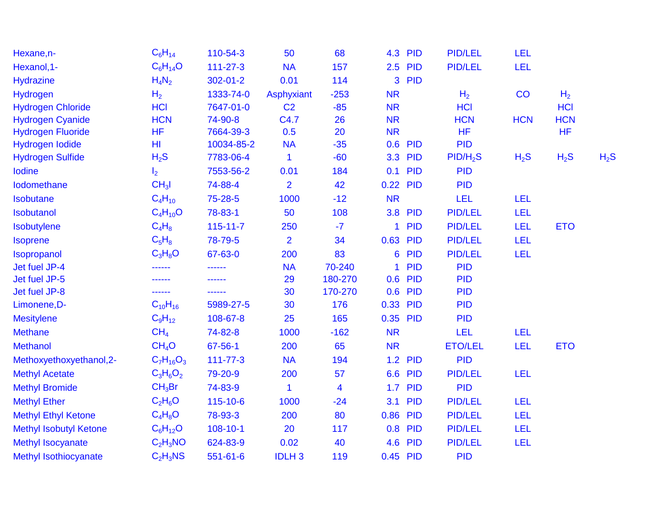| Hexane, n-                    | $C_6H_{14}$        | 110-54-3       | 50                | 68      | 4.3       | <b>PID</b> | <b>PID/LEL</b>       | <b>LEL</b> |                |        |
|-------------------------------|--------------------|----------------|-------------------|---------|-----------|------------|----------------------|------------|----------------|--------|
| Hexanol, 1-                   | $C_6H_{14}O$       | $111 - 27 - 3$ | <b>NA</b>         | 157     | 2.5       | <b>PID</b> | <b>PID/LEL</b>       | <b>LEL</b> |                |        |
| <b>Hydrazine</b>              | $H_4N_2$           | $302 - 01 - 2$ | 0.01              | 114     | 3         | <b>PID</b> |                      |            |                |        |
| Hydrogen                      | H <sub>2</sub>     | 1333-74-0      | <b>Asphyxiant</b> | $-253$  | <b>NR</b> |            | H <sub>2</sub>       | CO         | H <sub>2</sub> |        |
| <b>Hydrogen Chloride</b>      | <b>HCI</b>         | 7647-01-0      | C <sub>2</sub>    | $-85$   | <b>NR</b> |            | <b>HCI</b>           |            | <b>HCI</b>     |        |
| <b>Hydrogen Cyanide</b>       | <b>HCN</b>         | 74-90-8        | C4.7              | 26      | <b>NR</b> |            | <b>HCN</b>           | <b>HCN</b> | <b>HCN</b>     |        |
| <b>Hydrogen Fluoride</b>      | <b>HF</b>          | 7664-39-3      | 0.5               | 20      | <b>NR</b> |            | <b>HF</b>            |            | <b>HF</b>      |        |
| Hydrogen lodide               | H <sub>II</sub>    | 10034-85-2     | <b>NA</b>         | $-35$   | 0.6       | <b>PID</b> | <b>PID</b>           |            |                |        |
| <b>Hydrogen Sulfide</b>       | H <sub>2</sub> S   | 7783-06-4      | 1                 | $-60$   | 3.3       | <b>PID</b> | PID/H <sub>2</sub> S | $H_2S$     | $H_2S$         | $H_2S$ |
| Iodine                        | I <sub>2</sub>     | 7553-56-2      | 0.01              | 184     | 0.1       | <b>PID</b> | <b>PID</b>           |            |                |        |
| Iodomethane                   | CH <sub>3</sub> I  | 74-88-4        | $\overline{2}$    | 42      | 0.22      | <b>PID</b> | <b>PID</b>           |            |                |        |
| Isobutane                     | $C_4H_{10}$        | 75-28-5        | 1000              | $-12$   | <b>NR</b> |            | <b>LEL</b>           | <b>LEL</b> |                |        |
| Isobutanol                    | $C_4H_{10}O$       | 78-83-1        | 50                | 108     | 3.8       | <b>PID</b> | <b>PID/LEL</b>       | <b>LEL</b> |                |        |
| Isobutylene                   | $C_4H_8$           | $115 - 11 - 7$ | 250               | $-7$    | 1         | <b>PID</b> | <b>PID/LEL</b>       | <b>LEL</b> | <b>ETO</b>     |        |
| <b>Isoprene</b>               | $C_5H_8$           | 78-79-5        | $\overline{2}$    | 34      | 0.63      | <b>PID</b> | <b>PID/LEL</b>       | <b>LEL</b> |                |        |
| Isopropanol                   | $C_3H_8O$          | 67-63-0        | 200               | 83      | 6         | <b>PID</b> | <b>PID/LEL</b>       | <b>LEL</b> |                |        |
| Jet fuel JP-4                 | ------             | ------         | <b>NA</b>         | 70-240  |           | <b>PID</b> | <b>PID</b>           |            |                |        |
| Jet fuel JP-5                 | ------             |                | 29                | 180-270 | 0.6       | <b>PID</b> | <b>PID</b>           |            |                |        |
| Jet fuel JP-8                 | ------             | ------         | 30                | 170-270 | 0.6       | <b>PID</b> | <b>PID</b>           |            |                |        |
| Limonene, D-                  | $C_{10}H_{16}$     | 5989-27-5      | 30                | 176     | 0.33      | <b>PID</b> | <b>PID</b>           |            |                |        |
| <b>Mesitylene</b>             | $C_9H_{12}$        | 108-67-8       | 25                | 165     | 0.35      | <b>PID</b> | <b>PID</b>           |            |                |        |
| <b>Methane</b>                | CH <sub>4</sub>    | 74-82-8        | 1000              | $-162$  | <b>NR</b> |            | <b>LEL</b>           | <b>LEL</b> |                |        |
| <b>Methanol</b>               | CH <sub>4</sub> O  | 67-56-1        | 200               | 65      | <b>NR</b> |            | <b>ETO/LEL</b>       | <b>LEL</b> | <b>ETO</b>     |        |
| Methoxyethoxyethanol, 2-      | $C_7H_{16}O_3$     | $111 - 77 - 3$ | <b>NA</b>         | 194     | 1.2       | <b>PID</b> | <b>PID</b>           |            |                |        |
| <b>Methyl Acetate</b>         | $C_3H_6O_2$        | 79-20-9        | 200               | 57      | 6.6       | <b>PID</b> | <b>PID/LEL</b>       | LEL        |                |        |
| <b>Methyl Bromide</b>         | CH <sub>3</sub> Br | 74-83-9        | 1                 | 4       | 1.7       | <b>PID</b> | <b>PID</b>           |            |                |        |
| <b>Methyl Ether</b>           | $C_2H_6O$          | 115-10-6       | 1000              | $-24$   | 3.1       | <b>PID</b> | <b>PID/LEL</b>       | <b>LEL</b> |                |        |
| <b>Methyl Ethyl Ketone</b>    | $C_4H_8O$          | 78-93-3        | 200               | 80      | 0.86      | <b>PID</b> | <b>PID/LEL</b>       | LEL        |                |        |
| <b>Methyl Isobutyl Ketone</b> | $C_6H_{12}O$       | $108 - 10 - 1$ | 20                | 117     | 0.8       | <b>PID</b> | <b>PID/LEL</b>       | <b>LEL</b> |                |        |
| <b>Methyl Isocyanate</b>      | $C_2H_3NO$         | 624-83-9       | 0.02              | 40      | 4.6       | <b>PID</b> | <b>PID/LEL</b>       | <b>LEL</b> |                |        |
| Methyl Isothiocyanate         | $C_2H_3NS$         | $551 - 61 - 6$ | <b>IDLH3</b>      | 119     | 0.45      | <b>PID</b> | <b>PID</b>           |            |                |        |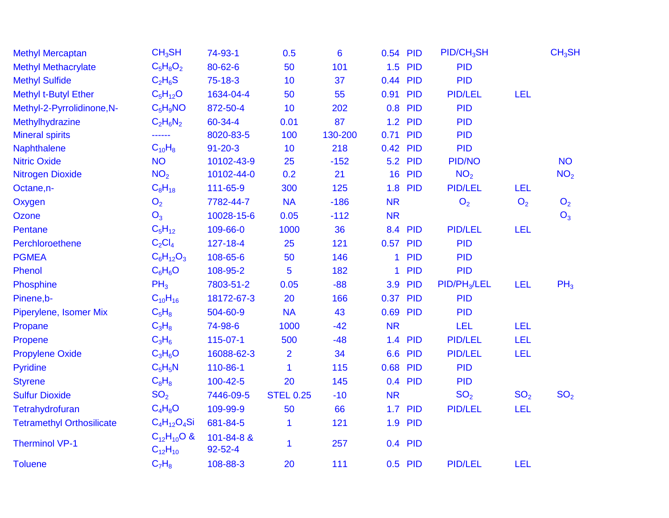| <b>Methyl Mercaptan</b>          | CH <sub>3</sub> SH                  | 74-93-1               | 0.5              | 6       | 0.54 PID     |                | $PID/CH_3SH$    |                 | CH <sub>3</sub> SH |
|----------------------------------|-------------------------------------|-----------------------|------------------|---------|--------------|----------------|-----------------|-----------------|--------------------|
| <b>Methyl Methacrylate</b>       | $C_5H_8O_2$                         | 80-62-6               | 50               | 101     | 1.5          | PID            | <b>PID</b>      |                 |                    |
| <b>Methyl Sulfide</b>            | $C_2H_6S$                           | 75-18-3               | 10               | 37      | 0.44 PID     |                | <b>PID</b>      |                 |                    |
| <b>Methyl t-Butyl Ether</b>      | $C_5H_{12}O$                        | 1634-04-4             | 50               | 55      | 0.91         | <b>PID</b>     | <b>PID/LEL</b>  | <b>LEL</b>      |                    |
| Methyl-2-Pyrrolidinone, N-       | $C_5H_9NO$                          | 872-50-4              | 10               | 202     |              | 0.8 PID        | <b>PID</b>      |                 |                    |
| Methylhydrazine                  | $C_2H_6N_2$                         | 60-34-4               | 0.01             | 87      |              | <b>1.2 PID</b> | <b>PID</b>      |                 |                    |
| <b>Mineral spirits</b>           | ------                              | 8020-83-5             | 100              | 130-200 | 0.71         | <b>PID</b>     | <b>PID</b>      |                 |                    |
| <b>Naphthalene</b>               | $C_{10}H_8$                         | $91 - 20 - 3$         | 10               | 218     | 0.42 PID     |                | <b>PID</b>      |                 |                    |
| <b>Nitric Oxide</b>              | <b>NO</b>                           | 10102-43-9            | 25               | $-152$  |              | <b>5.2 PID</b> | PID/NO          |                 | <b>NO</b>          |
| <b>Nitrogen Dioxide</b>          | NO <sub>2</sub>                     | 10102-44-0            | 0.2              | 21      | 16           | <b>PID</b>     | NO <sub>2</sub> |                 | NO <sub>2</sub>    |
| Octane, n-                       | $C_8H_{18}$                         | 111-65-9              | 300              | 125     |              | <b>1.8 PID</b> | <b>PID/LEL</b>  | <b>LEL</b>      |                    |
| Oxygen                           | O <sub>2</sub>                      | 7782-44-7             | <b>NA</b>        | $-186$  | <b>NR</b>    |                | O <sub>2</sub>  | O <sub>2</sub>  | O <sub>2</sub>     |
| Ozone                            | O <sub>3</sub>                      | 10028-15-6            | 0.05             | $-112$  | <b>NR</b>    |                |                 |                 | O <sub>3</sub>     |
| <b>Pentane</b>                   | $C_5H_{12}$                         | 109-66-0              | 1000             | 36      |              | 8.4 PID        | <b>PID/LEL</b>  | <b>LEL</b>      |                    |
| Perchloroethene                  | $C_2Cl_4$                           | 127-18-4              | 25               | 121     | 0.57 PID     |                | <b>PID</b>      |                 |                    |
| <b>PGMEA</b>                     | $C_6H_{12}O_3$                      | 108-65-6              | 50               | 146     | $\mathbf{1}$ | <b>PID</b>     | <b>PID</b>      |                 |                    |
| Phenol                           | $C_6H_6O$                           | 108-95-2              | 5                | 182     | 1            | <b>PID</b>     | <b>PID</b>      |                 |                    |
| <b>Phosphine</b>                 | $PH_3$                              | 7803-51-2             | 0.05             | $-88$   |              | 3.9 PID        | $PID/PH_3/LEL$  | <b>LEL</b>      | PH <sub>3</sub>    |
| Pinene,b-                        | $C_{10}H_{16}$                      | 18172-67-3            | 20               | 166     | 0.37         | <b>PID</b>     | <b>PID</b>      |                 |                    |
| Piperylene, Isomer Mix           | $C_5H_8$                            | 504-60-9              | <b>NA</b>        | 43      | 0.69 PID     |                | <b>PID</b>      |                 |                    |
| Propane                          | $C_3H_8$                            | 74-98-6               | 1000             | $-42$   | <b>NR</b>    |                | <b>LEL</b>      | <b>LEL</b>      |                    |
| Propene                          | $C_3H_6$                            | 115-07-1              | 500              | $-48$   | 1.4          | <b>PID</b>     | <b>PID/LEL</b>  | <b>LEL</b>      |                    |
| <b>Propylene Oxide</b>           | $C_3H_6O$                           | 16088-62-3            | $\overline{2}$   | 34      |              | 6.6 PID        | <b>PID/LEL</b>  | <b>LEL</b>      |                    |
| <b>Pyridine</b>                  | $C_5H_5N$                           | 110-86-1              | $\mathbf 1$      | 115     | 0.68         | <b>PID</b>     | <b>PID</b>      |                 |                    |
| <b>Styrene</b>                   | $C_8H_8$                            | 100-42-5              | 20               | 145     |              | 0.4 PID        | <b>PID</b>      |                 |                    |
| <b>Sulfur Dioxide</b>            | SO <sub>2</sub>                     | 7446-09-5             | <b>STEL 0.25</b> | $-10$   | <b>NR</b>    |                | SO <sub>2</sub> | SO <sub>2</sub> | SO <sub>2</sub>    |
| Tetrahydrofuran                  | $C_4H_8O$                           | 109-99-9              | 50               | 66      |              | <b>1.7 PID</b> | <b>PID/LEL</b>  | <b>LEL</b>      |                    |
| <b>Tetramethyl Orthosilicate</b> | $C_4H_{12}O_4Si$                    | 681-84-5              | $\mathbf 1$      | 121     |              | <b>1.9 PID</b> |                 |                 |                    |
| <b>Therminol VP-1</b>            | $C_{12}H_{10}O$ &<br>$C_{12}H_{10}$ | 101-84-8 &<br>92-52-4 | $\mathbf{1}$     | 257     |              | 0.4 PID        |                 |                 |                    |
| <b>Toluene</b>                   | $C_7H_8$                            | 108-88-3              | 20               | 111     |              | 0.5 PID        | <b>PID/LEL</b>  | <b>LEL</b>      |                    |